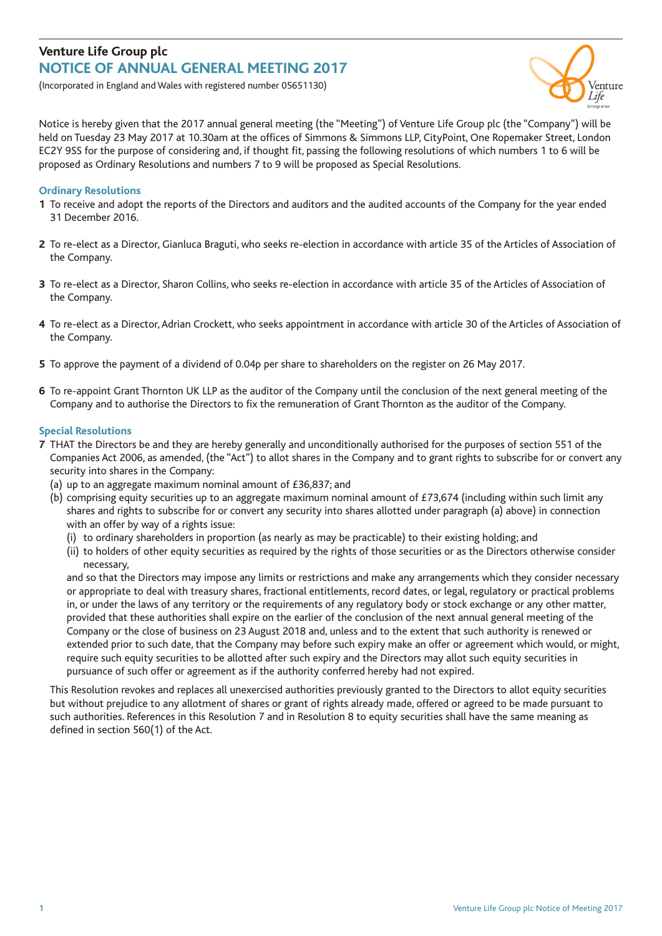## **Venture Life Group plc NOTICE OF ANNUAL GENERAL MEETING 2017**

(Incorporated in England and Wales with registered number 05651130)



Notice is hereby given that the 2017 annual general meeting (the "Meeting") of Venture Life Group plc (the "Company") will be held on Tuesday 23 May 2017 at 10.30am at the offices of Simmons & Simmons LLP, CityPoint, One Ropemaker Street, London EC2Y 9SS for the purpose of considering and, if thought fit, passing the following resolutions of which numbers 1 to 6 will be proposed as Ordinary Resolutions and numbers 7 to 9 will be proposed as Special Resolutions.

### **Ordinary Resolutions**

- **1** To receive and adopt the reports of the Directors and auditors and the audited accounts of the Company for the year ended 31 December 2016.
- **2** To re-elect as a Director, Gianluca Braguti, who seeks re-election in accordance with article 35 of the Articles of Association of the Company.
- **3** To re-elect as a Director, Sharon Collins, who seeks re-election in accordance with article 35 of the Articles of Association of the Company.
- **4** To re-elect as a Director,Adrian Crockett, who seeks appointment in accordance with article 30 of the Articles of Association of the Company.
- **5** To approve the payment of a dividend of 0.04p per share to shareholders on the register on 26 May 2017.
- **6** To re-appoint Grant Thornton UK LLP as the auditor of the Company until the conclusion of the next general meeting of the Company and to authorise the Directors to fix the remuneration of Grant Thornton as the auditor of the Company.

#### **Special Resolutions**

- **7** THAT the Directors be and they are hereby generally and unconditionally authorised for the purposes of section 551 of the Companies Act 2006, as amended, (the "Act") to allot shares in the Company and to grant rights to subscribe for or convert any security into shares in the Company:
	- (a) up to an aggregate maximum nominal amount of £36,837; and
	- (b) comprising equity securities up to an aggregate maximum nominal amount of £73,674 (including within such limit any shares and rights to subscribe for or convert any security into shares allotted under paragraph (a) above) in connection with an offer by way of a rights issue:
		- (i) to ordinary shareholders in proportion (as nearly as may be practicable) to their existing holding; and
		- (ii) to holders of other equity securities as required by the rights of those securities or as the Directors otherwise consider necessary,

and so that the Directors may impose any limits or restrictions and make any arrangements which they consider necessary or appropriate to deal with treasury shares, fractional entitlements, record dates, or legal, regulatory or practical problems in, or under the laws of any territory or the requirements of any regulatory body or stock exchange or any other matter, provided that these authorities shall expire on the earlier of the conclusion of the next annual general meeting of the Company or the close of business on 23 August 2018 and, unless and to the extent that such authority is renewed or extended prior to such date, that the Company may before such expiry make an offer or agreement which would, or might, require such equity securities to be allotted after such expiry and the Directors may allot such equity securities in pursuance of such offer or agreement as if the authority conferred hereby had not expired.

This Resolution revokes and replaces all unexercised authorities previously granted to the Directors to allot equity securities but without prejudice to any allotment of shares or grant of rights already made, offered or agreed to be made pursuant to such authorities. References in this Resolution 7 and in Resolution 8 to equity securities shall have the same meaning as defined in section 560(1) of the Act.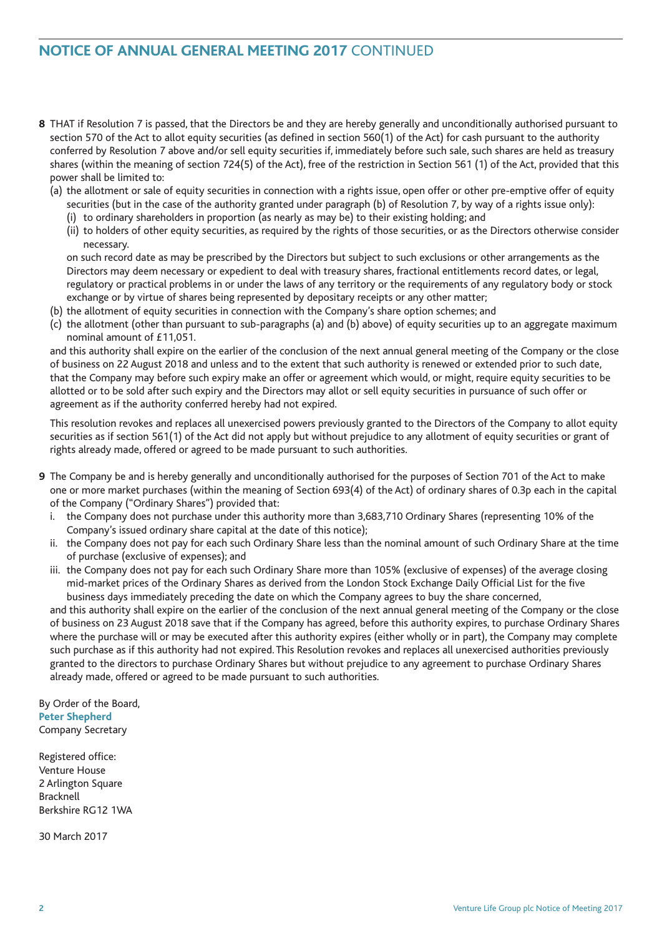# **NOTICE OF ANNUAL GENERAL MEETING 2017** CONTINUED

- **8** THAT if Resolution 7 is passed, that the Directors be and they are hereby generally and unconditionally authorised pursuant to section 570 of the Act to allot equity securities (as defined in section 560(1) of the Act) for cash pursuant to the authority conferred by Resolution 7 above and/or sell equity securities if, immediately before such sale, such shares are held as treasury shares (within the meaning of section 724(5) of the Act), free of the restriction in Section 561 (1) of the Act, provided that this power shall be limited to:
	- (a) the allotment or sale of equity securities in connection with a rights issue, open offer or other pre-emptive offer of equity securities (but in the case of the authority granted under paragraph (b) of Resolution 7, by way of a rights issue only):
		- (i) to ordinary shareholders in proportion (as nearly as may be) to their existing holding; and
		- (ii) to holders of other equity securities, as required by the rights of those securities, or as the Directors otherwise consider necessary.

on such record date as may be prescribed by the Directors but subject to such exclusions or other arrangements as the Directors may deem necessary or expedient to deal with treasury shares, fractional entitlements record dates, or legal, regulatory or practical problems in or under the laws of any territory or the requirements of any regulatory body or stock exchange or by virtue of shares being represented by depositary receipts or any other matter;

- (b) the allotment of equity securities in connection with the Company's share option schemes; and
- (c) the allotment (other than pursuant to sub-paragraphs (a) and (b) above) of equity securities up to an aggregate maximum nominal amount of £11,051.

and this authority shall expire on the earlier of the conclusion of the next annual general meeting of the Company or the close of business on 22 August 2018 and unless and to the extent that such authority is renewed or extended prior to such date, that the Company may before such expiry make an offer or agreement which would, or might, require equity securities to be allotted or to be sold after such expiry and the Directors may allot or sell equity securities in pursuance of such offer or agreement as if the authority conferred hereby had not expired.

This resolution revokes and replaces all unexercised powers previously granted to the Directors of the Company to allot equity securities as if section 561(1) of the Act did not apply but without prejudice to any allotment of equity securities or grant of rights already made, offered or agreed to be made pursuant to such authorities.

- **9** The Company be and is hereby generally and unconditionally authorised for the purposes of Section 701 of the Act to make one or more market purchases (within the meaning of Section 693(4) of the Act) of ordinary shares of 0.3p each in the capital of the Company ("Ordinary Shares") provided that:
	- i. the Company does not purchase under this authority more than 3,683,710 Ordinary Shares (representing 10% of the Company's issued ordinary share capital at the date of this notice);
	- ii. the Company does not pay for each such Ordinary Share less than the nominal amount of such Ordinary Share at the time of purchase (exclusive of expenses); and
	- iii. the Company does not pay for each such Ordinary Share more than 105% (exclusive of expenses) of the average closing mid-market prices of the Ordinary Shares as derived from the London Stock Exchange Daily Official List for the five business days immediately preceding the date on which the Company agrees to buy the share concerned,

and this authority shall expire on the earlier of the conclusion of the next annual general meeting of the Company or the close of business on 23 August 2018 save that if the Company has agreed, before this authority expires, to purchase Ordinary Shares where the purchase will or may be executed after this authority expires (either wholly or in part), the Company may complete such purchase as if this authority had not expired. This Resolution revokes and replaces all unexercised authorities previously granted to the directors to purchase Ordinary Shares but without prejudice to any agreement to purchase Ordinary Shares already made, offered or agreed to be made pursuant to such authorities.

By Order of the Board, **Peter Shepherd** Company Secretary

Registered office: Venture House 2 Arlington Square Bracknell Berkshire RG12 1WA

30 March 2017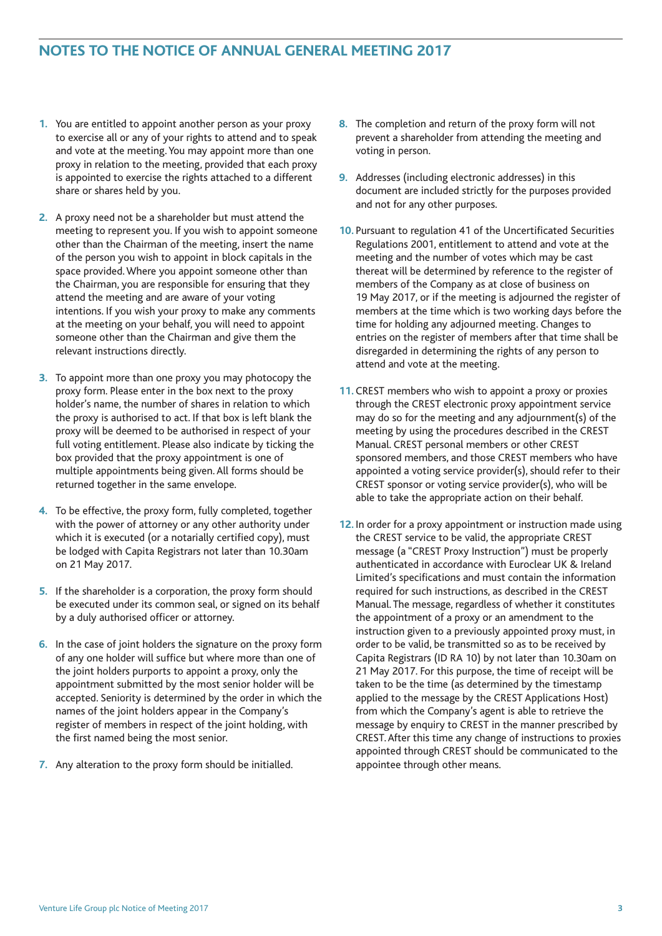## **NOTES TO THE NOTICE OF ANNUAL GENERAL MEETING 2017**

- **1.** You are entitled to appoint another person as your proxy to exercise all or any of your rights to attend and to speak and vote at the meeting.You may appoint more than one proxy in relation to the meeting, provided that each proxy is appointed to exercise the rights attached to a different share or shares held by you.
- **2.** A proxy need not be a shareholder but must attend the meeting to represent you. If you wish to appoint someone other than the Chairman of the meeting, insert the name of the person you wish to appoint in block capitals in the space provided.Where you appoint someone other than the Chairman, you are responsible for ensuring that they attend the meeting and are aware of your voting intentions. If you wish your proxy to make any comments at the meeting on your behalf, you will need to appoint someone other than the Chairman and give them the relevant instructions directly.
- **3.** To appoint more than one proxy you may photocopy the proxy form. Please enter in the box next to the proxy holder's name, the number of shares in relation to which the proxy is authorised to act. If that box is left blank the proxy will be deemed to be authorised in respect of your full voting entitlement. Please also indicate by ticking the box provided that the proxy appointment is one of multiple appointments being given.All forms should be returned together in the same envelope.
- **4.** To be effective, the proxy form, fully completed, together with the power of attorney or any other authority under which it is executed (or a notarially certified copy), must be lodged with Capita Registrars not later than 10.30am on 21 May 2017.
- **5.** If the shareholder is a corporation, the proxy form should be executed under its common seal, or signed on its behalf by a duly authorised officer or attorney.
- **6.** In the case of joint holders the signature on the proxy form of any one holder will suffice but where more than one of the joint holders purports to appoint a proxy, only the appointment submitted by the most senior holder will be accepted. Seniority is determined by the order in which the names of the joint holders appear in the Company's register of members in respect of the joint holding, with the first named being the most senior.
- **7.** Any alteration to the proxy form should be initialled.
- **8.** The completion and return of the proxy form will not prevent a shareholder from attending the meeting and voting in person.
- **9.** Addresses (including electronic addresses) in this document are included strictly for the purposes provided and not for any other purposes.
- **10.** Pursuant to regulation 41 of the Uncertificated Securities Regulations 2001, entitlement to attend and vote at the meeting and the number of votes which may be cast thereat will be determined by reference to the register of members of the Company as at close of business on 19 May 2017, or if the meeting is adjourned the register of members at the time which is two working days before the time for holding any adjourned meeting. Changes to entries on the register of members after that time shall be disregarded in determining the rights of any person to attend and vote at the meeting.
- **11.** CREST members who wish to appoint a proxy or proxies through the CREST electronic proxy appointment service may do so for the meeting and any adjournment(s) of the meeting by using the procedures described in the CREST Manual. CREST personal members or other CREST sponsored members, and those CREST members who have appointed a voting service provider(s), should refer to their CREST sponsor or voting service provider(s), who will be able to take the appropriate action on their behalf.
- **12.** In order for a proxy appointment or instruction made using the CREST service to be valid, the appropriate CREST message (a "CREST Proxy Instruction") must be properly authenticated in accordance with Euroclear UK & Ireland Limited's specifications and must contain the information required for such instructions, as described in the CREST Manual. The message, regardless of whether it constitutes the appointment of a proxy or an amendment to the instruction given to a previously appointed proxy must, in order to be valid, be transmitted so as to be received by Capita Registrars (ID RA 10) by not later than 10.30am on 21 May 2017. For this purpose, the time of receipt will be taken to be the time (as determined by the timestamp applied to the message by the CREST Applications Host) from which the Company's agent is able to retrieve the message by enquiry to CREST in the manner prescribed by CREST.After this time any change of instructions to proxies appointed through CREST should be communicated to the appointee through other means.